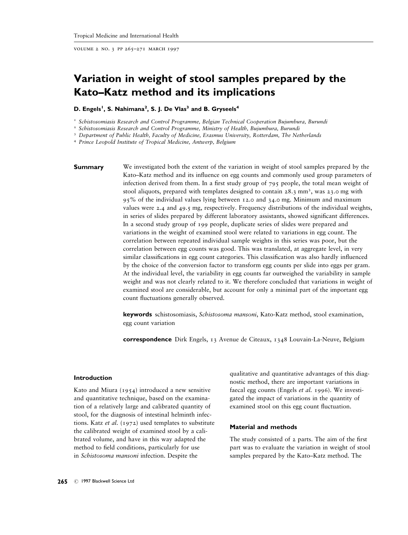volume 2 no. 3 pp 265–271 march 1997

# **Variation in weight of stool samples prepared by the Kato–Katz method and its implications**

# D. Engels<sup>1</sup>, S. Nahimana<sup>2</sup>, S. J. De Vlas<sup>3</sup> and B. Gryseels<sup>4</sup>

<sup>1</sup> *Schistosomiasis Research and Control Programme, Belgian Technical Cooperation Bujumbura, Burundi*

<sup>2</sup> *Schistosomiasis Research and Control Programme, Ministry of Health, Bujumbura, Burundi*

<sup>3</sup> *Department of Public Health, Faculty of Medicine, Erasmus University, Rotterdam, The Netherlands*

<sup>4</sup> *Prince Leopold Institute of Tropical Medicine, Antwerp, Belgium*

**Summary** We investigated both the extent of the variation in weight of stool samples prepared by the Kato–Katz method and its influence on egg counts and commonly used group parameters of infection derived from them. In a first study group of 795 people, the total mean weight of stool aliquots, prepared with templates designed to contain 28.3 mm<sup>3</sup>, was 23.0 mg with 95% of the individual values lying between 12.0 and 34.0 mg. Minimum and maximum values were 2.4 and 49.5 mg, respectively. Frequency distributions of the individual weights, in series of slides prepared by different laboratory assistants, showed significant differences. In a second study group of 199 people, duplicate series of slides were prepared and variations in the weight of examined stool were related to variations in egg count. The correlation between repeated individual sample weights in this series was poor, but the correlation between egg counts was good. This was translated, at aggregate level, in very similar classifications in egg count categories. This classification was also hardly influenced by the choice of the conversion factor to transform egg counts per slide into eggs per gram. At the individual level, the variability in egg counts far outweighed the variability in sample weight and was not clearly related to it. We therefore concluded that variations in weight of examined stool are considerable, but account for only a minimal part of the important egg count fluctuations generally observed.

> **keywords** schistosomiasis, *Schistosoma mansoni*, Kato-Katz method, stool examination, egg count variation

> **correspondence** Dirk Engels, 13 Avenue de Citeaux, 1348 Louvain-La-Neuve, Belgium

# **Introduction**

Kato and Miura (1954) introduced a new sensitive and quantitative technique, based on the examination of a relatively large and calibrated quantity of stool, for the diagnosis of intestinal helminth infections. Katz *et al.* (1972) used templates to substitute the calibrated weight of examined stool by a calibrated volume, and have in this way adapted the method to field conditions, particularly for use in *Schistosoma mansoni* infection. Despite the

qualitative and quantitative advantages of this diagnostic method, there are important variations in faecal egg counts (Engels *et al.* 1996). We investigated the impact of variations in the quantity of examined stool on this egg count fluctuation.

# **Material and methods**

The study consisted of 2 parts. The aim of the first part was to evaluate the variation in weight of stool samples prepared by the Kato–Katz method. The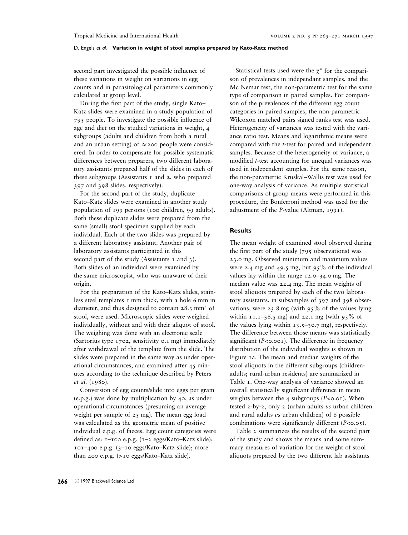second part investigated the possible influence of these variations in weight on variations in egg counts and in parasitological parameters commonly calculated at group level.

During the first part of the study, single Kato– Katz slides were examined in a study population of 795 people. To investigate the possible influence of age and diet on the studied variations in weight, 4 subgroups (adults and children from both a rural and an urban setting) of  $\approx$  200 people were considered. In order to compensate for possible systematic differences between preparers, two different laboratory assistants prepared half of the slides in each of these subgroups (Assistants  $\bar{x}$  and  $\bar{z}$ , who prepared 397 and 398 slides, respectively).

For the second part of the study, duplicate Kato–Katz slides were examined in another study population of 199 persons (100 children, 99 adults). Both these duplicate slides were prepared from the same (small) stool specimen supplied by each individual. Each of the two slides was prepared by a different laboratory assistant. Another pair of laboratory assistants participated in this second part of the study (Assistants 1 and 3). Both slides of an individual were examined by the same microscopist, who was unaware of their origin.

For the preparation of the Kato–Katz slides, stainless steel templates 1 mm thick, with a hole 6 mm in diameter, and thus designed to contain 28.3 mm<sup>3</sup> of stool, were used. Microscopic slides were weighed individually, without and with their aliquot of stool. The weighing was done with an electronic scale (Sartorius type 1702, sensitivity 0.1 mg) immediately after withdrawal of the template from the slide. The slides were prepared in the same way as under operational circumstances, and examined after 45 minutes according to the technique described by Peters *et al.* (1980).

Conversion of egg counts/slide into eggs per gram (e.p.g.) was done by multiplication by 40, as under operational circumstances (presuming an average weight per sample of 25 mg). The mean egg load was calculated as the geometric mean of positive individual e.p.g. of faeces. Egg count categories were defined as: 1–100 e.p.g. (1–2 eggs/Kato–Katz slide); 101–400 e.p.g. (3–10 eggs/Kato–Katz slide); more than 400 e.p.g. (>10 eggs/Kato–Katz slide).

Statistical tests used were the  $\chi^2$  for the comparison of prevalences in independant samples, and the Mc Nemar test, the non-parametric test for the same type of comparison in paired samples. For comparison of the prevalences of the different egg count categories in paired samples, the non-parametric Wilcoxon matched pairs signed ranks test was used. Heterogeneity of variances was tested with the variance ratio test. Means and logarithmic means were compared with the *t*-test for paired and independent samples. Because of the heterogeneity of variance, a modified *t*-test accounting for unequal variances was used in independent samples. For the same reason, the non-parametric Kruskal–Wallis test was used for one-way analysis of variance. As multiple statistical comparisons of group means were performed in this procedure, the Bonferroni method was used for the adjustment of the *P-*value (Altman, 1991).

# **Results**

The mean weight of examined stool observed during the first part of the study  $(795)$  observations) was 23.0 mg. Observed minimum and maximum values were 2.4 mg and 49.5 mg, but 95% of the individual values lay within the range 12.0–34.0 mg. The median value was 22.4 mg. The mean weights of stool aliquots prepared by each of the two laboratory assistants, in subsamples of 397 and 398 observations, were 23.8 mg (with  $95\%$  of the values lying within  $11.1-36.5$  mg) and 22.1 mg (with 95% of the values lying within  $13.5-30.7$  mg), respectively. The difference between those means was statistically significant  $(P<0.001)$ . The difference in frequency distribution of the individual weights is shown in Figure 1a. The mean and median weights of the stool aliquots in the different subgroups (childrenadults; rural-urban residents) are summarized in Table 1. One-way analysis of variance showed an overall statistically significant difference in mean weights between the 4 subgroups (*P*<0.01). When tested 2-by-2, only 2 (urban adults *vs* urban children and rural adults *vs* urban children) of 6 possible combinations were significantly different (*P*<0.05).

Table 2 summarizes the results of the second part of the study and shows the means and some summary measures of variation for the weight of stool aliquots prepared by the two different lab assistants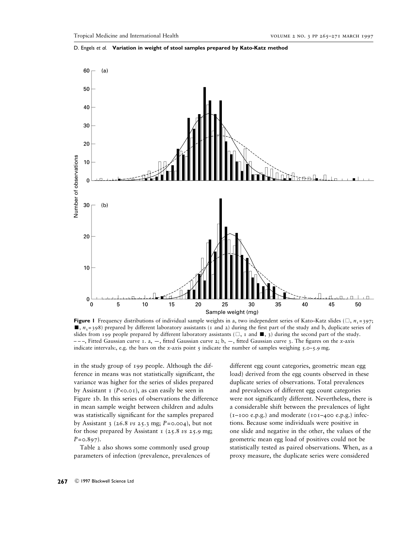

D. Engels *et al.* **Variation in weight of stool samples prepared by Kato-Katz method**

**Figure 1** Frequency distributions of individual sample weights in a, two independent series of Kato–Katz slides ( $\Box$ , *n*<sub>1</sub>=397;  $\blacksquare$ ,  $n_1$  = 398) prepared by different laboratory assistants (1 and 2) during the first part of the study and b, duplicate series of slides from 199 people prepared by different laboratory assistants ( $\Box$ , 1 and  $\Box$ , 3) during the second part of the study. – – –, Fitted Gaussian curve 1. a, —, fitted Gaussian curve 2; b, —, fitted Gaussian curve 3. The figures on the *x*-a*x*is indicate intervals:, e.g. the bars on the *x*-axis point  $\zeta$  indicate the number of samples weighing  $\zeta$ .

in the study group of 199 people. Although the difference in means was not statistically significant, the variance was higher for the series of slides prepared by Assistant  $\sigma$  (*P*<0.01), as can easily be seen in Figure 1b. In this series of observations the difference in mean sample weight between children and adults was statistically significant for the samples prepared by Assistant 3 (26.8 *vs* 25.3 mg; *P*=0.004), but not for those prepared by Assistant  $\sigma$  (25.8 *vs* 25.9 mg; *P*=0.897).

Table 2 also shows some commonly used group parameters of infection (prevalence, prevalences of different egg count categories, geometric mean egg load) derived from the egg counts observed in these duplicate series of observations. Total prevalences and prevalences of different egg count categories were not significantly different. Nevertheless, there is a considerable shift between the prevalences of light  $(I-IOO e.p.g.)$  and moderate  $(IO-I4OO e.p.g.)$  infections. Because some individuals were positive in one slide and negative in the other, the values of the geometric mean egg load of positives could not be statistically tested as paired observations. When, as a proxy measure, the duplicate series were considered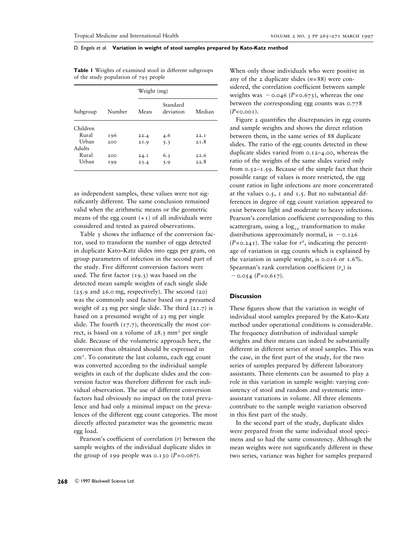|                 |        | Weight (mg) |                       |        |  |  |
|-----------------|--------|-------------|-----------------------|--------|--|--|
| Subgroup        | Number | Mean        | Standard<br>deviation | Median |  |  |
| Children        |        |             |                       |        |  |  |
| Rural           | 196    | 22.4        | 4.6                   | 22.1   |  |  |
| Urban<br>Adults | 200    | 2I.9        | 5.3                   | 2T.8   |  |  |
| Rural           | 200    | 24.1        | 6.3                   | 22.6   |  |  |
| Urban           | 199    | 23.4        | 5.9                   | 22.8   |  |  |

**Table 1** Weights of examined stool in different subgroups of the study population of 795 people

as independent samples, these values were not significantly different. The same conclusion remained valid when the arithmetic means or the geometric means of the egg count  $(+1)$  of all individuals were considered and tested as paired observations.

Table 3 shows the influence of the conversion factor, used to transform the number of eggs detected in duplicate Kato–Katz slides into eggs per gram, on group parameters of infection in the second part of the study. Five different conversion factors were used. The first factor (19.3) was based on the detected mean sample weights of each single slide  $(25.9 \text{ and } 26.0 \text{ mg}, \text{ respectively}).$  The second  $(20)$ was the commonly used factor based on a presumed weight of  $25$  mg per single slide. The third  $(21.7)$  is based on a presumed weight of 23 mg per single slide. The fourth  $(17.7)$ , theoretically the most correct, is based on a volume of  $28.3 \text{ mm}^3$  per single slide. Because of the volumetric approach here, the conversion thus obtained should be expressed in cm<sup>3</sup> . To constitute the last column, each egg count was converted according to the individual sample weights in each of the duplicate slides and the conversion factor was therefore different for each individual observation. The use of different conversion factors had obviously no impact on the total prevalence and had only a minimal impact on the prevalences of the different egg count categories. The most directly affected parameter was the geometric mean egg load.

Pearson's coefficient of correlation (*r*) between the sample weights of the individual duplicate slides in the group of 199 people was  $0.130$  ( $P = 0.067$ ).

When only those individuals who were positive in any of the 2 duplicate slides  $(n=88)$  were considered, the correlation coefficient between sample weights was  $-$  0.046 (*P*=0.673), whereas the one between the corresponding egg counts was 0.778  $(P<0.001)$ .

Figure 2 quantifies the discrepancies in egg counts and sample weights and shows the direct relation between them, in the same series of 88 duplicate slides. The ratio of the egg counts detected in these duplicate slides varied from 0.12–4.00, whereas the ratio of the weights of the same slides varied only from  $0.52 - 1.59$ . Because of the simple fact that their possible range of values is more restricted, the egg count ratios in light infections are more concentrated at the values 0.5, 1 and 1.5. But no substantial differences in degree of egg count variation appeared to exist between light and moderate to heavy infections. Pearson's correlation coefficient corresponding to this scattergram, using a  $log_{10}$  transformation to make distributions approximately normal, is  $-0.126$  $(P=0.24)$ . The value for  $r^2$ , indicating the percentage of variation in egg counts which is explained by the variation in sample weight, is 0.016 or 1.6%. Spearman's rank correlation coefficient  $(r<sub>s</sub>)$  is  $-$  0.054 (*P*=0.617).

# **Discussion**

These figures show that the variation in weight of individual stool samples prepared by the Kato–Katz method under operational conditions is considerable. The frequency distribution of individual sample weights and their means can indeed be substantially different in different series of stool samples. This was the case, in the first part of the study, for the two series of samples prepared by different laboratory assistants. Three elements can be assumed to play a role in this variation in sample weight: varying consistency of stool and random and systematic interassistant variations in volume. All three elements contribute to the sample weight variation observed in this first part of the study.

In the second part of the study, duplicate slides were prepared from the same individual stool specimens and so had the same consistency. Although the mean weights were not significantly different in these two series, variance was higher for samples prepared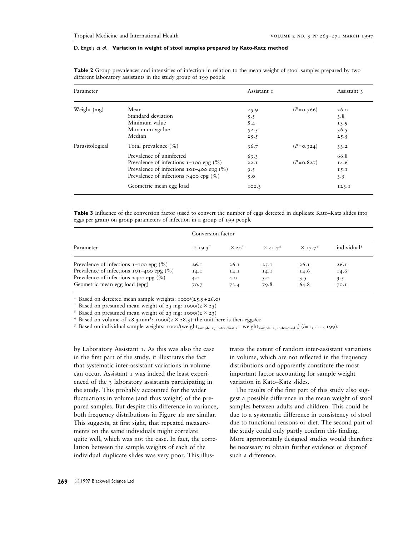| Parameter       |                                                                   | Assistant 1 |               | Assistant 3 |
|-----------------|-------------------------------------------------------------------|-------------|---------------|-------------|
| Weight (mg)     | Mean                                                              | 25.9        | $(P = 0.766)$ | 26.0        |
|                 | Standard deviation                                                | 5.5         |               | 3.8         |
|                 | Minimum value                                                     | 8.4         |               | 13.9        |
|                 | Maximum vgalue                                                    | 52.5        |               | 36.5        |
|                 | Median                                                            | 25.5        |               | 25.5        |
| Parasitological | Total prevalence (%)                                              | 36.7        | $(P = 0.324)$ | 33.2        |
|                 | Prevalence of uninfected                                          | 63.3        |               | 66.8        |
|                 | Prevalence of infections $I$ - $I$ oo epg $(\%)$                  | 22.1        | $(P = 0.827)$ | 14.6        |
|                 | Prevalence of infections $101-400$ epg $\left(\frac{9}{6}\right)$ | 9.5         |               | 15.1        |
|                 | Prevalence of infections >400 epg $(\% )$                         | 5.0         |               | 3.5         |
|                 | Geometric mean egg load                                           | IO2.3       |               | 123.1       |

**Table 2** Group prevalences and intensities of infection in relation to the mean weight of stool samples prepared by two different laboratory assistants in the study group of 199 people

**Table 3** Influence of the conversion factor (used to convert the number of eggs detected in duplicate Kato–Katz slides into eggs per gram) on group parameters of infection in a group of 199 people

|                                                       | Conversion factor          |               |                 |                            |                         |  |
|-------------------------------------------------------|----------------------------|---------------|-----------------|----------------------------|-------------------------|--|
| Parameter                                             | $\times$ 19.3 <sup>1</sup> | $\times 20^2$ | $\times 21.7^3$ | $\times$ 17.7 <sup>4</sup> | individual <sup>5</sup> |  |
| Prevalence of infections $I-IO$ epg $(\%)$            | 26.1                       | 26.1          | 25.1            | 26.1                       | 26.1                    |  |
| Prevalence of infections $101-400$ epg $\binom{9}{0}$ | I4.1                       | I4.1          | I4.I            | 14.6                       | 14.6                    |  |
| Prevalence of infections >400 epg $(\% )$             | 4.0                        | 4.0           | 5.0             | 3.5                        | 3.5                     |  |
| Geometric mean egg load (epg)                         | 70.7                       | 73.4          | 79.8            | 64.8                       | 70.I                    |  |

<sup>1</sup> Based on detected mean sample weights:  $1000/(25.9+26.0)$ <br><sup>2</sup> Based on presumed mean weight of  $25 \text{ mg}$ :  $1000/(2 \times 25)$ 

<sup>3</sup> Based on presumed mean weight of 23 mg: 1000/(2 × 23)<br><sup>4</sup> Based on volume of 28.3 mm<sup>3</sup>: 1000/(2 × 28.3)-the unit here is then eggs/cc

<sup>5</sup> Based on volume of 28.3 mm<sup>3</sup>: 1000/(2 × 28.3)–the unit here is then eggs/cc<br><sup>5</sup> Based on individual sample weights: 1000/(weight<sub>sample 1, individual *i*+ weight<sub>sample 2, individual *i*</sub>) (*i*=1,..., 199).</sub>

by Laboratory Assistant 1. As this was also the case in the first part of the study, it illustrates the fact that systematic inter-assistant variations in volume can occur. Assistant 1 was indeed the least experienced of the 3 laboratory assistants participating in the study. This probably accounted for the wider fluctuations in volume (and thus weight) of the prepared samples. But despite this difference in variance, both frequency distributions in Figure 1b are similar. This suggests, at first sight, that repeated measurements on the same individuals might correlate quite well, which was not the case. In fact, the correlation between the sample weights of each of the individual duplicate slides was very poor. This illustrates the extent of random inter-assistant variations in volume, which are not reflected in the frequency distributions and apparently constitute the most important factor accounting for sample weight variation in Kato–Katz slides.

The results of the first part of this study also suggest a possible difference in the mean weight of stool samples between adults and children. This could be due to a systematic difference in consistency of stool due to functional reasons or diet. The second part of the study could only partly confirm this finding. More appropriately designed studies would therefore be necessary to obtain further evidence or disproof such a difference.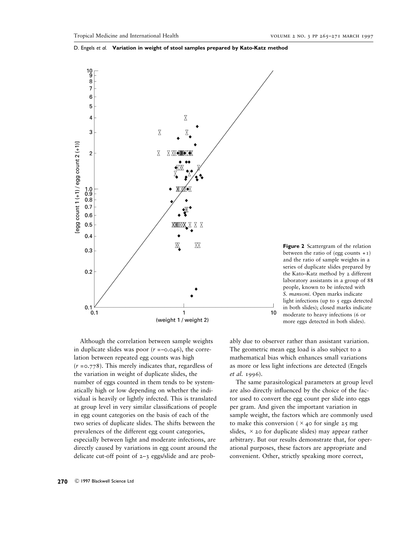

**Figure 2** Scattergram of the relation between the ratio of (egg counts  $+1$ ) and the ratio of sample weights in a series of duplicate slides prepared by the Kato–Katz method by 2 different laboratory assistants in a group of 88 people, known to be infected with *S. mansoni*. Open marks indicate light infections (up to  $\frac{1}{2}$  eggs detected in both slides); closed marks indicate moderate to heavy infections (6 or more eggs detected in both slides).

Although the correlation between sample weights in duplicate slides was poor  $(r = -0.046)$ , the correlation between repeated egg counts was high (*r* =0.778). This merely indicates that, regardless of the variation in weight of duplicate slides, the number of eggs counted in them tends to be systematically high or low depending on whether the individual is heavily or lightly infected. This is translated at group level in very similar classifications of people in egg count categories on the basis of each of the two series of duplicate slides. The shifts between the prevalences of the different egg count categories, especially between light and moderate infections, are directly caused by variations in egg count around the delicate cut-off point of 2–3 eggs/slide and are probably due to observer rather than assistant variation. The geometric mean egg load is also subject to a mathematical bias which enhances small variations as more or less light infections are detected (Engels *et al.* 1996).

The same parasitological parameters at group level are also directly influenced by the choice of the factor used to convert the egg count per slide into eggs per gram. And given the important variation in sample weight, the factors which are commonly used to make this conversion ( $\times$  40 for single 25 mg) slides,  $\times$  20 for duplicate slides) may appear rather arbitrary. But our results demonstrate that, for operational purposes, these factors are appropriate and convenient. Other, strictly speaking more correct,